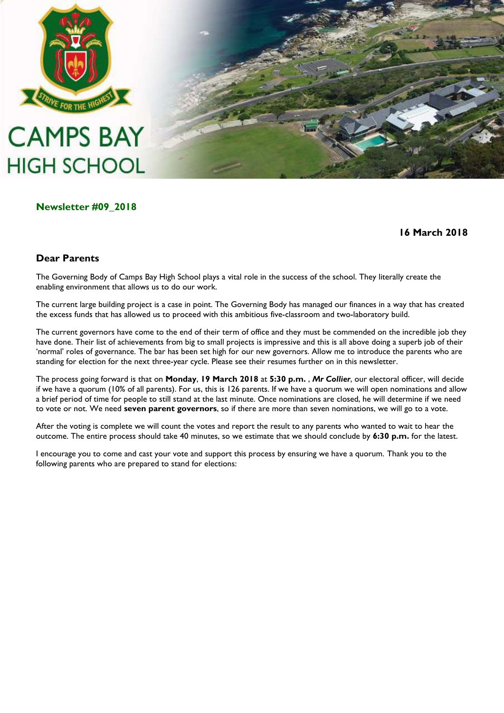

# **CAMPS BAY HIGH SCHOOL**

# **Newsletter #09\_2018**

# **16 March 2018**

# **Dear Parents**

The Governing Body of Camps Bay High School plays a vital role in the success of the school. They literally create the enabling environment that allows us to do our work.

The current large building project is a case in point. The Governing Body has managed our finances in a way that has created the excess funds that has allowed us to proceed with this ambitious five-classroom and two-laboratory build.

The current governors have come to the end of their term of office and they must be commended on the incredible job they have done. Their list of achievements from big to small projects is impressive and this is all above doing a superb job of their "normal" roles of governance. The bar has been set high for our new governors. Allow me to introduce the parents who are standing for election for the next three-year cycle. Please see their resumes further on in this newsletter.

The process going forward is that on **Monday**, **19 March 2018** at **5:30 p.m.** , *Mr Collier*, our electoral officer, will decide if we have a quorum (10% of all parents). For us, this is 126 parents. If we have a quorum we will open nominations and allow a brief period of time for people to still stand at the last minute. Once nominations are closed, he will determine if we need to vote or not. We need **seven parent governors**, so if there are more than seven nominations, we will go to a vote.

After the voting is complete we will count the votes and report the result to any parents who wanted to wait to hear the outcome. The entire process should take 40 minutes, so we estimate that we should conclude by **6:30 p.m.** for the latest.

I encourage you to come and cast your vote and support this process by ensuring we have a quorum. Thank you to the following parents who are prepared to stand for elections: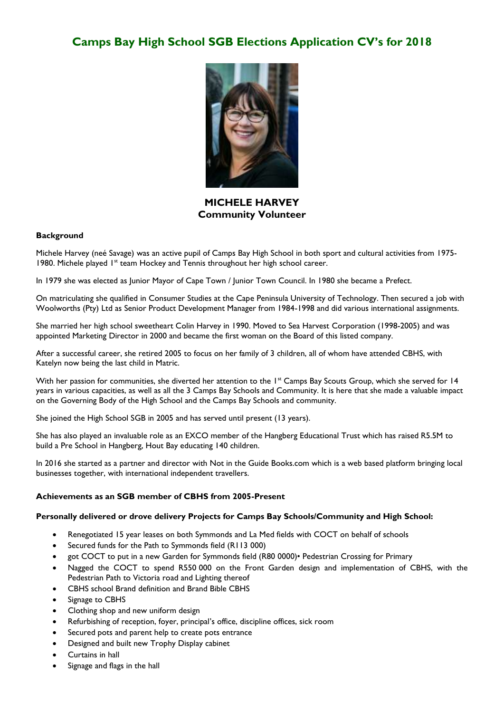

**MICHELE HARVEY Community Volunteer**

#### **Background**

Michele Harvey (neé Savage) was an active pupil of Camps Bay High School in both sport and cultural activities from 1975- 1980. Michele played 1<sup>st</sup> team Hockey and Tennis throughout her high school career.

In 1979 she was elected as Junior Mayor of Cape Town / Junior Town Council. In 1980 she became a Prefect.

On matriculating she qualified in Consumer Studies at the Cape Peninsula University of Technology. Then secured a job with Woolworths (Pty) Ltd as Senior Product Development Manager from 1984-1998 and did various international assignments.

She married her high school sweetheart Colin Harvey in 1990. Moved to Sea Harvest Corporation (1998-2005) and was appointed Marketing Director in 2000 and became the first woman on the Board of this listed company.

After a successful career, she retired 2005 to focus on her family of 3 children, all of whom have attended CBHS, with Katelyn now being the last child in Matric.

With her passion for communities, she diverted her attention to the 1<sup>st</sup> Camps Bay Scouts Group, which she served for 14 years in various capacities, as well as all the 3 Camps Bay Schools and Community. It is here that she made a valuable impact on the Governing Body of the High School and the Camps Bay Schools and community.

She joined the High School SGB in 2005 and has served until present (13 years).

She has also played an invaluable role as an EXCO member of the Hangberg Educational Trust which has raised R5.5M to build a Pre School in Hangberg, Hout Bay educating 140 children.

In 2016 she started as a partner and director with Not in the Guide Books.com which is a web based platform bringing local businesses together, with international independent travellers.

#### **Achievements as an SGB member of CBHS from 2005-Present**

#### **Personally delivered or drove delivery Projects for Camps Bay Schools/Community and High School:**

- Renegotiated 15 year leases on both Symmonds and La Med fields with COCT on behalf of schools
- Secured funds for the Path to Symmonds field (R113 000)
- got COCT to put in a new Garden for Symmonds field (R80 0000)• Pedestrian Crossing for Primary
- Nagged the COCT to spend R550 000 on the Front Garden design and implementation of CBHS, with the Pedestrian Path to Victoria road and Lighting thereof
- CBHS school Brand definition and Brand Bible CBHS
- Signage to CBHS
- Clothing shop and new uniform design
- Refurbishing of reception, foyer, principal's office, discipline offices, sick room
- Secured pots and parent help to create pots entrance
- Designed and built new Trophy Display cabinet
- Curtains in hall
- Signage and flags in the hall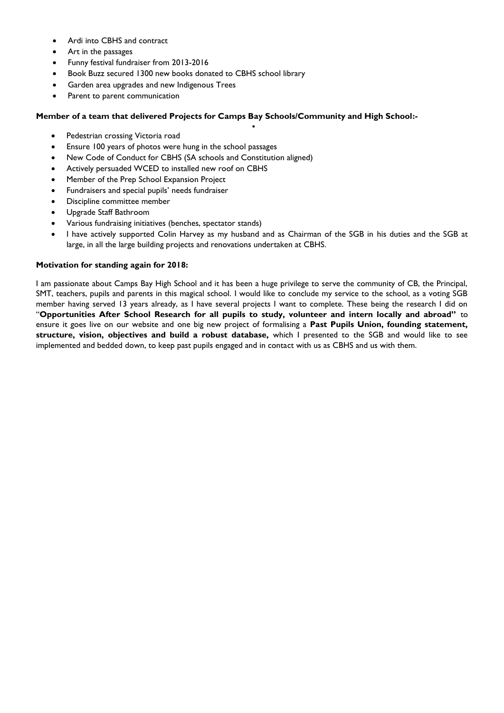- Ardi into CBHS and contract
- Art in the passages
- Funny festival fundraiser from 2013-2016
- Book Buzz secured 1300 new books donated to CBHS school library
- Garden area upgrades and new Indigenous Trees
- Parent to parent communication

#### **Member of a team that delivered Projects for Camps Bay Schools/Community and High School:-**

 $\bullet$ 

- Pedestrian crossing Victoria road
- Ensure 100 years of photos were hung in the school passages
- New Code of Conduct for CBHS (SA schools and Constitution aligned)
- Actively persuaded WCED to installed new roof on CBHS
- Member of the Prep School Expansion Project
- Fundraisers and special pupils' needs fundraiser
- Discipline committee member
- Upgrade Staff Bathroom
- Various fundraising initiatives (benches, spectator stands)
- I have actively supported Colin Harvey as my husband and as Chairman of the SGB in his duties and the SGB at large, in all the large building projects and renovations undertaken at CBHS.

#### **Motivation for standing again for 2018:**

I am passionate about Camps Bay High School and it has been a huge privilege to serve the community of CB, the Principal, SMT, teachers, pupils and parents in this magical school. I would like to conclude my service to the school, as a voting SGB member having served 13 years already, as I have several projects I want to complete. These being the research I did on "**Opportunities After School Research for all pupils to study, volunteer and intern locally and abroad"** to ensure it goes live on our website and one big new project of formalising a **Past Pupils Union, founding statement, structure, vision, objectives and build a robust database,** which I presented to the SGB and would like to see implemented and bedded down, to keep past pupils engaged and in contact with us as CBHS and us with them.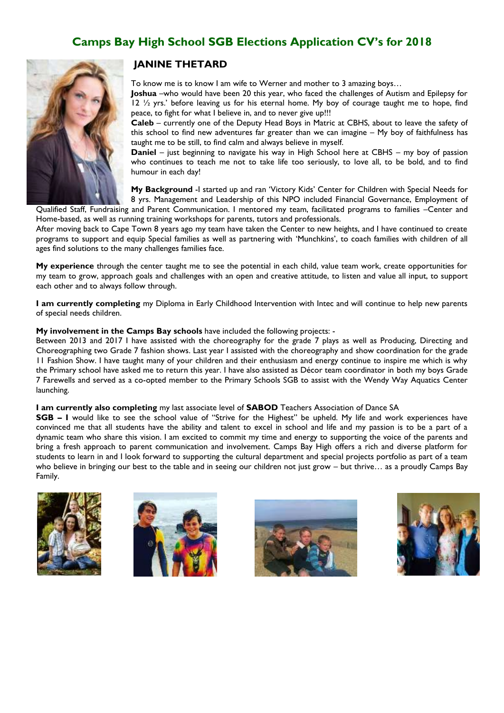

#### **JANINE THETARD**

To know me is to know I am wife to Werner and mother to 3 amazing boys…

**Joshua** –who would have been 20 this year, who faced the challenges of Autism and Epilepsy for 12  $\frac{1}{2}$  yrs.' before leaving us for his eternal home. My boy of courage taught me to hope, find peace, to fight for what I believe in, and to never give up!!!

**Caleb** – currently one of the Deputy Head Boys in Matric at CBHS, about to leave the safety of this school to find new adventures far greater than we can imagine – My boy of faithfulness has taught me to be still, to find calm and always believe in myself.

**Daniel** – just beginning to navigate his way in High School here at CBHS – my boy of passion who continues to teach me not to take life too seriously, to love all, to be bold, and to find humour in each day!

**My Background** -I started up and ran "Victory Kids" Center for Children with Special Needs for 8 yrs. Management and Leadership of this NPO included Financial Governance, Employment of

Qualified Staff, Fundraising and Parent Communication. I mentored my team, facilitated programs to families –Center and Home-based, as well as running training workshops for parents, tutors and professionals.

After moving back to Cape Town 8 years ago my team have taken the Center to new heights, and I have continued to create programs to support and equip Special families as well as partnering with "Munchkins", to coach families with children of all ages find solutions to the many challenges families face.

**My experience** through the center taught me to see the potential in each child, value team work, create opportunities for my team to grow, approach goals and challenges with an open and creative attitude, to listen and value all input, to support each other and to always follow through.

**I am currently completing** my Diploma in Early Childhood Intervention with Intec and will continue to help new parents of special needs children.

#### **My involvement in the Camps Bay schools** have included the following projects: -

Between 2013 and 2017 I have assisted with the choreography for the grade 7 plays as well as Producing, Directing and Choreographing two Grade 7 fashion shows. Last year I assisted with the choreography and show coordination for the grade 11 Fashion Show. I have taught many of your children and their enthusiasm and energy continue to inspire me which is why the Primary school have asked me to return this year. I have also assisted as Décor team coordinator in both my boys Grade 7 Farewells and served as a co-opted member to the Primary Schools SGB to assist with the Wendy Way Aquatics Center launching.

#### **I am currently also completing** my last associate level of **SABOD** Teachers Association of Dance SA

**SGB – I** would like to see the school value of "Strive for the Highest" be upheld. My life and work experiences have convinced me that all students have the ability and talent to excel in school and life and my passion is to be a part of a dynamic team who share this vision. I am excited to commit my time and energy to supporting the voice of the parents and bring a fresh approach to parent communication and involvement. Camps Bay High offers a rich and diverse platform for students to learn in and I look forward to supporting the cultural department and special projects portfolio as part of a team who believe in bringing our best to the table and in seeing our children not just grow – but thrive… as a proudly Camps Bay Family.







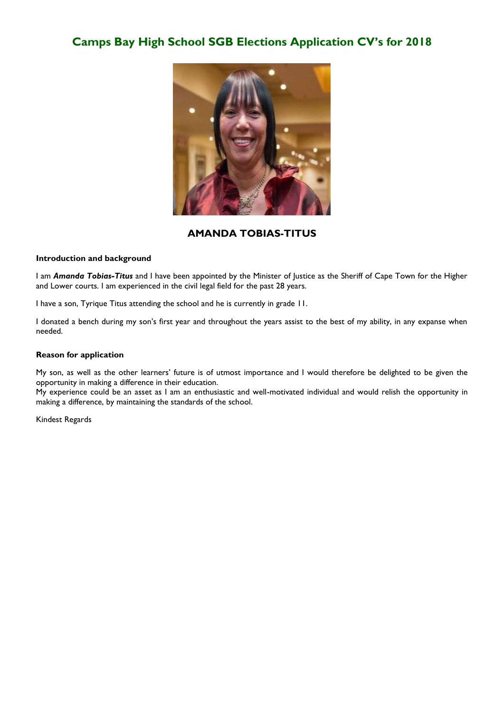

#### **AMANDA TOBIAS-TITUS**

#### **Introduction and background**

I am *Amanda Tobias-Titus* and I have been appointed by the Minister of Justice as the Sheriff of Cape Town for the Higher and Lower courts. I am experienced in the civil legal field for the past 28 years.

I have a son, Tyrique Titus attending the school and he is currently in grade 11.

I donated a bench during my son"s first year and throughout the years assist to the best of my ability, in any expanse when needed.

#### **Reason for application**

My son, as well as the other learners" future is of utmost importance and I would therefore be delighted to be given the opportunity in making a difference in their education.

My experience could be an asset as I am an enthusiastic and well-motivated individual and would relish the opportunity in making a difference, by maintaining the standards of the school.

Kindest Regards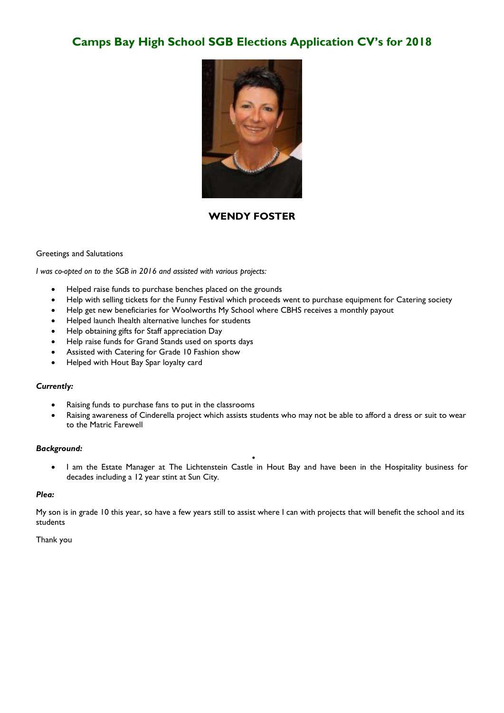

#### **WENDY FOSTER**

#### Greetings and Salutations

*I was co-opted on to the SGB in 2016 and assisted with various projects:*

- Helped raise funds to purchase benches placed on the grounds
- Help with selling tickets for the Funny Festival which proceeds went to purchase equipment for Catering society
- Help get new beneficiaries for Woolworths My School where CBHS receives a monthly payout
- Helped launch Ihealth alternative lunches for students
- Help obtaining gifts for Staff appreciation Day
- Help raise funds for Grand Stands used on sports days
- Assisted with Catering for Grade 10 Fashion show
- Helped with Hout Bay Spar loyalty card

#### *Currently:*

- Raising funds to purchase fans to put in the classrooms
- Raising awareness of Cinderella project which assists students who may not be able to afford a dress or suit to wear to the Matric Farewell

#### *Background:*

 I am the Estate Manager at The Lichtenstein Castle in Hout Bay and have been in the Hospitality business for decades including a 12 year stint at Sun City.

 $\bullet$ 

#### *Plea:*

My son is in grade 10 this year, so have a few years still to assist where I can with projects that will benefit the school and its students

#### Thank you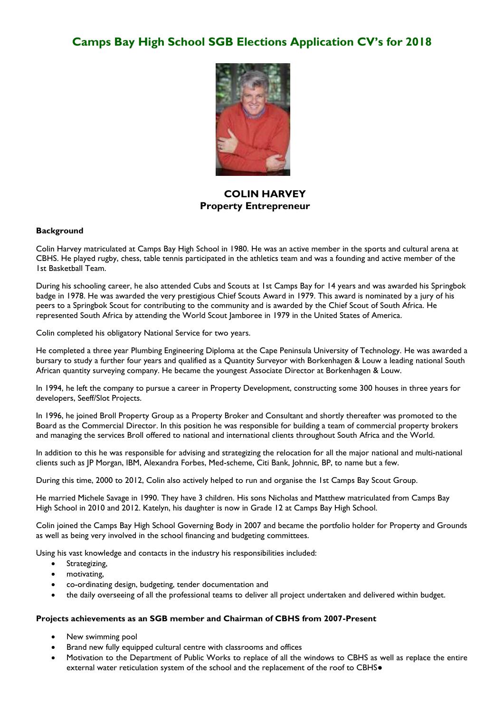

# **COLIN HARVEY Property Entrepreneur**

#### **Background**

Colin Harvey matriculated at Camps Bay High School in 1980. He was an active member in the sports and cultural arena at CBHS. He played rugby, chess, table tennis participated in the athletics team and was a founding and active member of the 1st Basketball Team.

During his schooling career, he also attended Cubs and Scouts at 1st Camps Bay for 14 years and was awarded his Springbok badge in 1978. He was awarded the very prestigious Chief Scouts Award in 1979. This award is nominated by a jury of his peers to a Springbok Scout for contributing to the community and is awarded by the Chief Scout of South Africa. He represented South Africa by attending the World Scout Jamboree in 1979 in the United States of America.

Colin completed his obligatory National Service for two years.

He completed a three year Plumbing Engineering Diploma at the Cape Peninsula University of Technology. He was awarded a bursary to study a further four years and qualified as a Quantity Surveyor with Borkenhagen & Louw a leading national South African quantity surveying company. He became the youngest Associate Director at Borkenhagen & Louw.

In 1994, he left the company to pursue a career in Property Development, constructing some 300 houses in three years for developers, Seeff/Slot Projects.

In 1996, he joined Broll Property Group as a Property Broker and Consultant and shortly thereafter was promoted to the Board as the Commercial Director. In this position he was responsible for building a team of commercial property brokers and managing the services Broll offered to national and international clients throughout South Africa and the World.

In addition to this he was responsible for advising and strategizing the relocation for all the major national and multi-national clients such as JP Morgan, IBM, Alexandra Forbes, Med-scheme, Citi Bank, Johnnic, BP, to name but a few.

During this time, 2000 to 2012, Colin also actively helped to run and organise the 1st Camps Bay Scout Group.

He married Michele Savage in 1990. They have 3 children. His sons Nicholas and Matthew matriculated from Camps Bay High School in 2010 and 2012. Katelyn, his daughter is now in Grade 12 at Camps Bay High School.

Colin joined the Camps Bay High School Governing Body in 2007 and became the portfolio holder for Property and Grounds as well as being very involved in the school financing and budgeting committees.

Using his vast knowledge and contacts in the industry his responsibilities included:

- **•** Strategizing,
- motivating,
- co-ordinating design, budgeting, tender documentation and
- the daily overseeing of all the professional teams to deliver all project undertaken and delivered within budget.

#### **Projects achievements as an SGB member and Chairman of CBHS from 2007-Present**

- New swimming pool
- Brand new fully equipped cultural centre with classrooms and offices
- Motivation to the Department of Public Works to replace of all the windows to CBHS as well as replace the entire external water reticulation system of the school and the replacement of the roof to CBHS●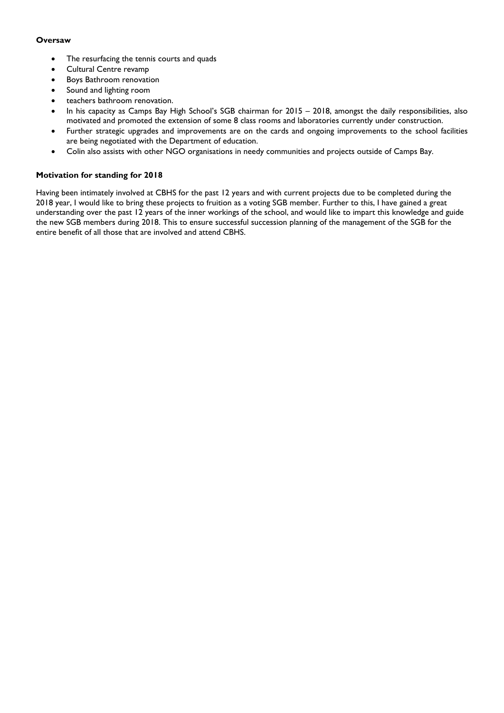#### **Oversaw**

- The resurfacing the tennis courts and quads
- Cultural Centre revamp
- Boys Bathroom renovation
- Sound and lighting room
- teachers bathroom renovation.
- In his capacity as Camps Bay High School's SGB chairman for 2015 2018, amongst the daily responsibilities, also motivated and promoted the extension of some 8 class rooms and laboratories currently under construction.
- Further strategic upgrades and improvements are on the cards and ongoing improvements to the school facilities are being negotiated with the Department of education.
- Colin also assists with other NGO organisations in needy communities and projects outside of Camps Bay.

#### **Motivation for standing for 2018**

Having been intimately involved at CBHS for the past 12 years and with current projects due to be completed during the 2018 year, I would like to bring these projects to fruition as a voting SGB member. Further to this, I have gained a great understanding over the past 12 years of the inner workings of the school, and would like to impart this knowledge and guide the new SGB members during 2018. This to ensure successful succession planning of the management of the SGB for the entire benefit of all those that are involved and attend CBHS.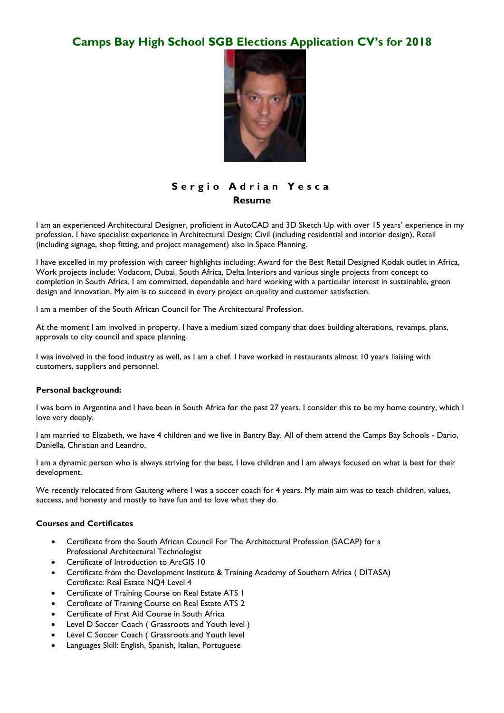

# **S e r g i o A d r i a n Y e s c a Resume**

I am an experienced Architectural Designer, proficient in AutoCAD and 3D Sketch Up with over 15 years" experience in my profession. I have specialist experience in Architectural Design: Civil (including residential and interior design), Retail (including signage, shop fitting, and project management) also in Space Planning.

I have excelled in my profession with career highlights including: Award for the Best Retail Designed Kodak outlet in Africa, Work projects include: Vodacom, Dubai, South Africa, Delta Interiors and various single projects from concept to completion in South Africa. I am committed, dependable and hard working with a particular interest in sustainable, green design and innovation. My aim is to succeed in every project on quality and customer satisfaction.

I am a member of the South African Council for The Architectural Profession.

At the moment I am involved in property. I have a medium sized company that does building alterations, revamps, plans, approvals to city council and space planning.

I was involved in the food industry as well, as I am a chef. I have worked in restaurants almost 10 years liaising with customers, suppliers and personnel.

#### **Personal background:**

I was born in Argentina and I have been in South Africa for the past 27 years. I consider this to be my home country, which I love very deeply.

I am married to Elizabeth, we have 4 children and we live in Bantry Bay. All of them attend the Camps Bay Schools - Dario, Daniella, Christian and Leandro.

I am a dynamic person who is always striving for the best, I love children and I am always focused on what is best for their development.

We recently relocated from Gauteng where I was a soccer coach for 4 years. My main aim was to teach children, values, success, and honesty and mostly to have fun and to love what they do.

#### **Courses and Certificates**

- Certificate from the South African Council For The Architectural Profession (SACAP) for a Professional Architectural Technologist
- Certificate of Introduction to ArcGIS 10
- Certificate from the Development Institute & Training Academy of Southern Africa ( DITASA) Certificate: Real Estate NQ4 Level 4
- Certificate of Training Course on Real Estate ATS 1
- Certificate of Training Course on Real Estate ATS 2
- Certificate of First Aid Course in South Africa
- Level D Soccer Coach ( Grassroots and Youth level )
- Level C Soccer Coach ( Grassroots and Youth level
- Languages Skill: English, Spanish, Italian, Portuguese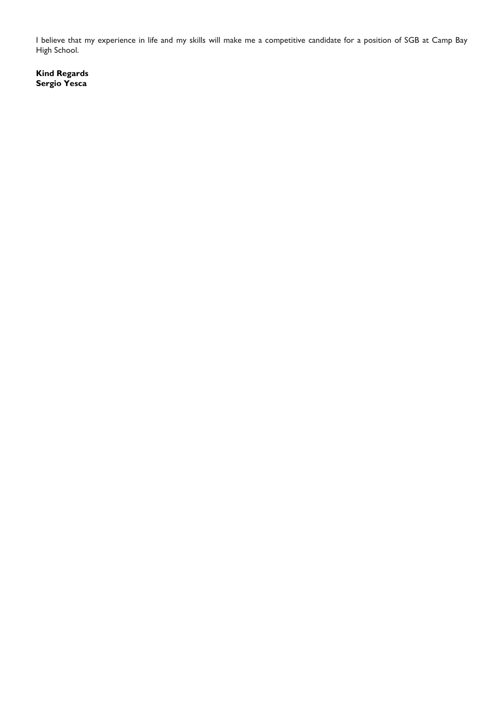I believe that my experience in life and my skills will make me a competitive candidate for a position of SGB at Camp Bay High School.

**Kind Regards Sergio Yesca**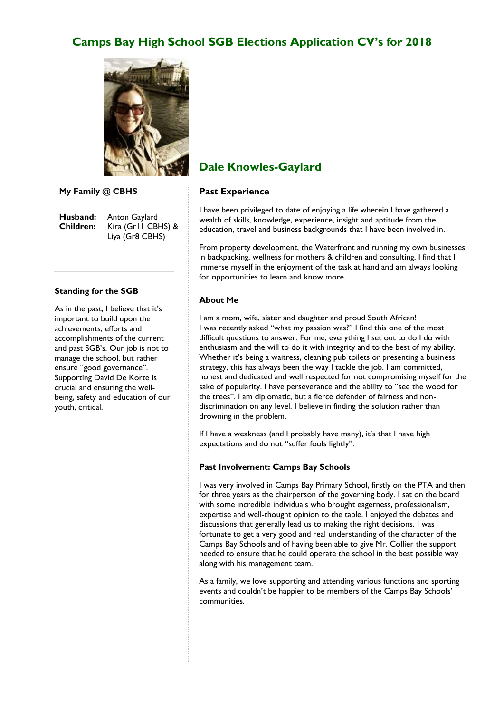

**My Family @ CBHS**

**Husband:** Anton Gaylard **Children:** Kira (Gr11 CBHS) & Liya (Gr8 CBHS)

#### **Standing for the SGB**

As in the past, I believe that it's important to build upon the achievements, efforts and accomplishments of the current and past SGB"s. Our job is not to manage the school, but rather ensure "good governance". Supporting David De Korte is crucial and ensuring the wellbeing, safety and education of our youth, critical.

# **Dale Knowles-Gaylard**

#### **Past Experience**

I have been privileged to date of enjoying a life wherein I have gathered a wealth of skills, knowledge, experience, insight and aptitude from the education, travel and business backgrounds that I have been involved in.

From property development, the Waterfront and running my own businesses in backpacking, wellness for mothers & children and consulting, I find that I immerse myself in the enjoyment of the task at hand and am always looking for opportunities to learn and know more.

#### **About Me**

I am a mom, wife, sister and daughter and proud South African! I was recently asked "what my passion was?" I find this one of the most difficult questions to answer. For me, everything I set out to do I do with enthusiasm and the will to do it with integrity and to the best of my ability. Whether it's being a waitress, cleaning pub toilets or presenting a business strategy, this has always been the way I tackle the job. I am committed, honest and dedicated and well respected for not compromising myself for the sake of popularity. I have perseverance and the ability to "see the wood for the trees". I am diplomatic, but a fierce defender of fairness and nondiscrimination on any level. I believe in finding the solution rather than drowning in the problem.

If I have a weakness (and I probably have many), it's that I have high expectations and do not "suffer fools lightly".

#### **Past Involvement: Camps Bay Schools**

I was very involved in Camps Bay Primary School, firstly on the PTA and then for three years as the chairperson of the governing body. I sat on the board with some incredible individuals who brought eagerness, professionalism, expertise and well-thought opinion to the table. I enjoyed the debates and discussions that generally lead us to making the right decisions. I was fortunate to get a very good and real understanding of the character of the Camps Bay Schools and of having been able to give Mr. Collier the support needed to ensure that he could operate the school in the best possible way along with his management team.

As a family, we love supporting and attending various functions and sporting events and couldn't be happier to be members of the Camps Bay Schools' communities.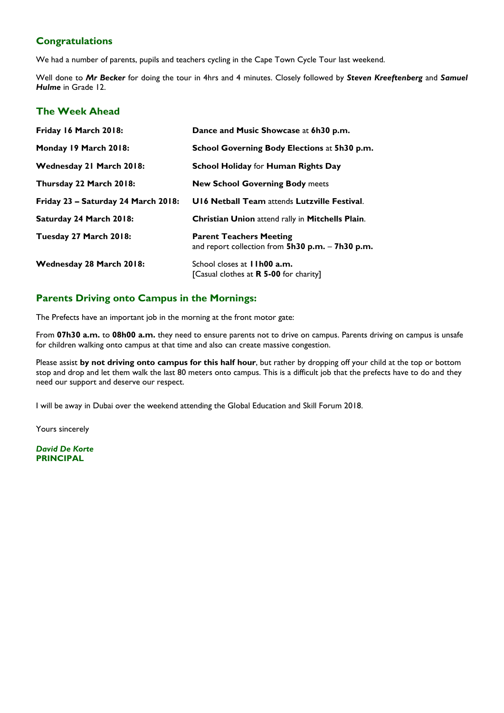# **Congratulations**

We had a number of parents, pupils and teachers cycling in the Cape Town Cycle Tour last weekend.

Well done to *Mr Becker* for doing the tour in 4hrs and 4 minutes. Closely followed by *Steven Kreeftenberg* and *Samuel Hulme* in Grade 12.

# **The Week Ahead**

| Friday 16 March 2018:               | Dance and Music Showcase at 6h30 p.m.                                               |
|-------------------------------------|-------------------------------------------------------------------------------------|
| Monday 19 March 2018:               | School Governing Body Elections at 5h30 p.m.                                        |
| Wednesday 21 March 2018:            | <b>School Holiday for Human Rights Day</b>                                          |
| Thursday 22 March 2018:             | <b>New School Governing Body meets</b>                                              |
| Friday 23 - Saturday 24 March 2018: | U16 Netball Team attends Lutzville Festival.                                        |
| Saturday 24 March 2018:             | Christian Union attend rally in Mitchells Plain.                                    |
| Tuesday 27 March 2018:              | <b>Parent Teachers Meeting</b><br>and report collection from 5h30 p.m. - 7h30 p.m.  |
| Wednesday 28 March 2018:            | School closes at <b>11h00 a.m.</b><br>[Casual clothes at <b>R 5-00</b> for charity] |

# **Parents Driving onto Campus in the Mornings:**

The Prefects have an important job in the morning at the front motor gate:

From **07h30 a.m.** to **08h00 a.m.** they need to ensure parents not to drive on campus. Parents driving on campus is unsafe for children walking onto campus at that time and also can create massive congestion.

Please assist **by not driving onto campus for this half hour**, but rather by dropping off your child at the top or bottom stop and drop and let them walk the last 80 meters onto campus. This is a difficult job that the prefects have to do and they need our support and deserve our respect.

I will be away in Dubai over the weekend attending the Global Education and Skill Forum 2018.

Yours sincerely

*David De Korte* **PRINCIPAL**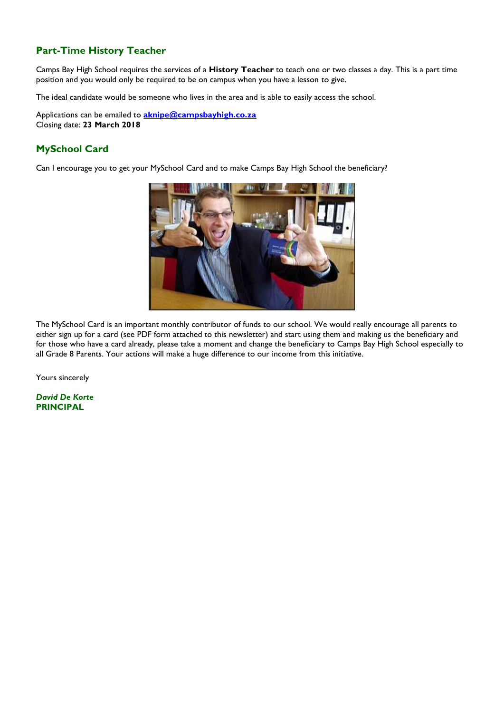# **Part-Time History Teacher**

Camps Bay High School requires the services of a **History Teacher** to teach one or two classes a day. This is a part time position and you would only be required to be on campus when you have a lesson to give.

The ideal candidate would be someone who lives in the area and is able to easily access the school.

Applications can be emailed to **[aknipe@campsbayhigh.co.za](mailto:aknipe@campsbayhigh.co.za)** Closing date: **23 March 2018**

# **MySchool Card**

Can I encourage you to get your MySchool Card and to make Camps Bay High School the beneficiary?



The MySchool Card is an important monthly contributor of funds to our school. We would really encourage all parents to either sign up for a card (see PDF form attached to this newsletter) and start using them and making us the beneficiary and for those who have a card already, please take a moment and change the beneficiary to Camps Bay High School especially to all Grade 8 Parents. Your actions will make a huge difference to our income from this initiative.

Yours sincerely

*David De Korte* **PRINCIPAL**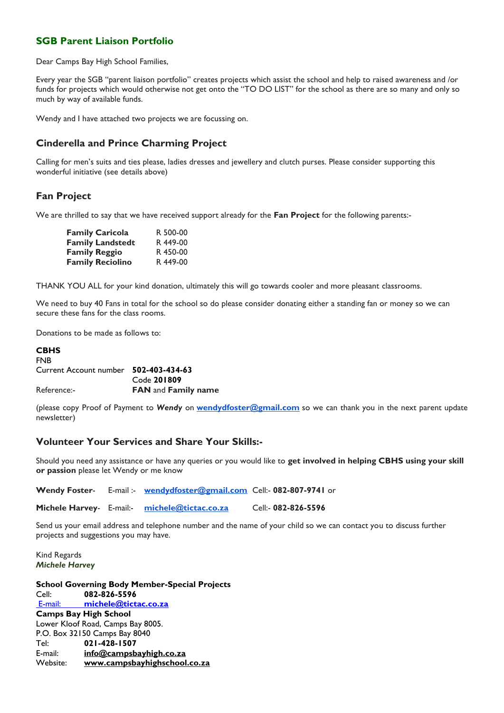# **SGB Parent Liaison Portfolio**

Dear Camps Bay High School Families,

Every year the SGB "parent liaison portfolio" creates projects which assist the school and help to raised awareness and /or funds for projects which would otherwise not get onto the "TO DO LIST" for the school as there are so many and only so much by way of available funds.

Wendy and I have attached two projects we are focussing on.

# **Cinderella and Prince Charming Project**

Calling for men's suits and ties please, ladies dresses and jewellery and clutch purses. Please consider supporting this wonderful initiative (see details above)

# **Fan Project**

We are thrilled to say that we have received support already for the **Fan Project** for the following parents:-

| <b>Family Caricola</b>  | R 500-00 |
|-------------------------|----------|
| <b>Family Landstedt</b> | R 449-00 |
| <b>Family Reggio</b>    | R 450-00 |
| <b>Family Reciolino</b> | R 449-00 |

THANK YOU ALL for your kind donation, ultimately this will go towards cooler and more pleasant classrooms.

We need to buy 40 Fans in total for the school so do please consider donating either a standing fan or money so we can secure these fans for the class rooms.

Donations to be made as follows to:

#### **CBHS** FNB Current Account number **502-403-434-63** Code **201809** Reference:- **FAN** and **Family name**

(please copy Proof of Payment to *Wendy* on **[wendydfoster@gmail.com](mailto:wendydfoster@gmail.com)** so we can thank you in the next parent update newsletter)

### **Volunteer Your Services and Share Your Skills:-**

Should you need any assistance or have any queries or you would like to **get involved in helping CBHS using your skill or passion** please let Wendy or me know

**Wendy Foster**- E-mail :- **[wendydfoster@gmail.com](mailto:wendydfoster@gmail.com)** Cell:- **082-807-9741** or

**Michele Harvey**- E-mail:- **[michele@tictac.co.za](mailto:michele@tictac.co.za)** Cell:- **082-826-5596**

Send us your email address and telephone number and the name of your child so we can contact you to discuss further projects and suggestions you may have.

Kind Regards *Michele Harvey*

**School Governing Body Member-Special Projects** Cell: **082-826-5596** E-mail: **[michele@tictac.co.za](mailto:%20E-mail: michele@tictac.co.za) Camps Bay High School** Lower Kloof Road, Camps Bay 8005. P.O. Box 32150 Camps Bay 8040 Tel: **021-428-1507** E-mail: **[info@campsbayhigh.co.za](mailto:info@campsbayhigh.co.za)** Website: **[www.campsbayhighschool.co.za](http://www.campsbayhighschool.co.za/)**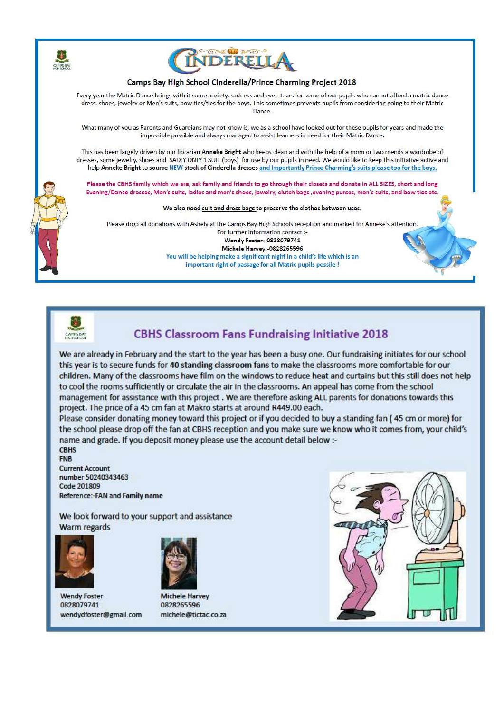



#### Camps Bay High School Cinderella/Prince Charming Project 2018

Every year the Matric Dance brings with it some anxiety, sadness and even tears for some of our pupils who cannot afford a matric dance dress, shoes, jewelry or Men's suits, bow ties/ties for the boys. This sometimes prevents pupils from considering going to their Matric Dance.

What many of you as Parents and Guardians may not know is, we as a school have looked out for these pupils for years and made the impossible possible and always managed to assist learners in need for their Matric Dance.

This has been largely driven by our librarian Anneke Bright who keeps clean and with the help of a mom or two mends a wardrobe of dresses, some jewelry, shoes and SADLY ONLY 1 SUIT (boys) for use by our pupils in need. We would like to keep this initiative active and help Anneke Bright to source NEW stock of Cinderella dresses and Importantly Prince Charming's suits please too for the boys.

Please the CBHS family which we are, ask family and friends to go through their closets and donate in ALL SIZES, short and long Evening/Dance dresses, Men's suits, ladies and men's shoes, jewelry, clutch bags , evening purses, men's suits, and bow ties etc.

We also need suit and dress bags to preserve the clothes between uses.

Please drop all donations with Ashely at the Camps Bay High Schools reception and marked for Anneke's attention. For further information contact :-

Wendy Foster:-0828079741

Michele Harvey: 0828265596 You will be helping make a significant night in a child's life which is an important right of passage for all Matric pupils possile !



# **CBHS Classroom Fans Fundraising Initiative 2018**

We are already in February and the start to the year has been a busy one. Our fundraising initiates for our school this year is to secure funds for 40 standing classroom fans to make the classrooms more comfortable for our children. Many of the classrooms have film on the windows to reduce heat and curtains but this still does not help to cool the rooms sufficiently or circulate the air in the classrooms. An appeal has come from the school management for assistance with this project. We are therefore asking ALL parents for donations towards this project. The price of a 45 cm fan at Makro starts at around R449.00 each.

Please consider donating money toward this project or if you decided to buy a standing fan (45 cm or more) for the school please drop off the fan at CBHS reception and you make sure we know who it comes from, your child's name and grade. If you deposit money please use the account detail below :-

**CBHS FNB** 

**Current Account** number 50240343463 Code 201809 Reference:-FAN and Family name

We look forward to your support and assistance **Warm regards** 



**Wendy Foster** 0828079741 wendydfoster@gmail.com



**Michele Harvey** 0828265596 michele@tictac.co.za

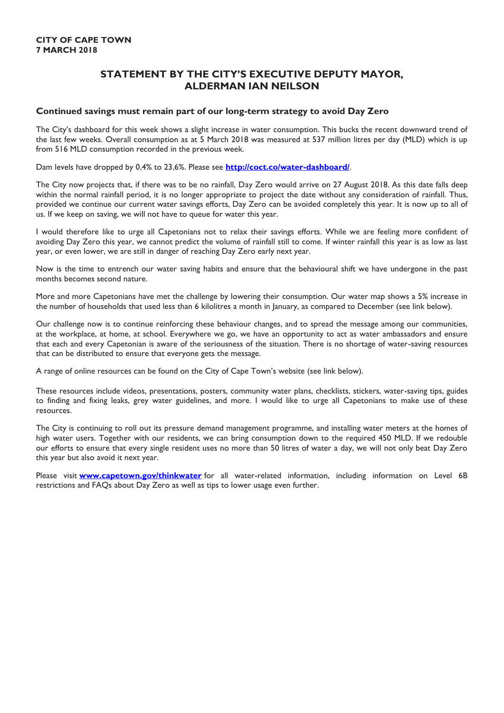# **STATEMENT BY THE CITY'S EXECUTIVE DEPUTY MAYOR, ALDERMAN IAN NEILSON**

#### **Continued savings must remain part of our long-term strategy to avoid Day Zero**

The City"s dashboard for this week shows a slight increase in water consumption. This bucks the recent downward trend of the last few weeks. Overall consumption as at 5 March 2018 was measured at 537 million litres per day (MLD) which is up from 516 MLD consumption recorded in the previous week.

Dam levels have dropped by 0,4% to 23,6%. Please see **<http://coct.co/water-dashboard/>**.

The City now projects that, if there was to be no rainfall, Day Zero would arrive on 27 August 2018. As this date falls deep within the normal rainfall period, it is no longer appropriate to project the date without any consideration of rainfall. Thus, provided we continue our current water savings efforts, Day Zero can be avoided completely this year. It is now up to all of us. If we keep on saving, we will not have to queue for water this year.

I would therefore like to urge all Capetonians not to relax their savings efforts. While we are feeling more confident of avoiding Day Zero this year, we cannot predict the volume of rainfall still to come. If winter rainfall this year is as low as last year, or even lower, we are still in danger of reaching Day Zero early next year.

Now is the time to entrench our water saving habits and ensure that the behavioural shift we have undergone in the past months becomes second nature.

More and more Capetonians have met the challenge by lowering their consumption. Our water map shows a 5% increase in the number of households that used less than 6 kilolitres a month in January, as compared to December (see link below).

Our challenge now is to continue reinforcing these behaviour changes, and to spread the message among our communities, at the workplace, at home, at school. Everywhere we go, we have an opportunity to act as water ambassadors and ensure that each and every Capetonian is aware of the seriousness of the situation. There is no shortage of water-saving resources that can be distributed to ensure that everyone gets the message.

A range of online resources can be found on the City of Cape Town"s website (see link below).

These resources include videos, presentations, posters, community water plans, checklists, stickers, water-saving tips, guides to finding and fixing leaks, grey water guidelines, and more. I would like to urge all Capetonians to make use of these resources.

The City is continuing to roll out its pressure demand management programme, and installing water meters at the homes of high water users. Together with our residents, we can bring consumption down to the required 450 MLD. If we redouble our efforts to ensure that every single resident uses no more than 50 litres of water a day, we will not only beat Day Zero this year but also avoid it next year.

Please visit **[www.capetown.gov/thinkwater](http://www.capetown.gov/thinkwater)** for all water-related information, including information on Level 6B restrictions and FAQs about Day Zero as well as tips to lower usage even further.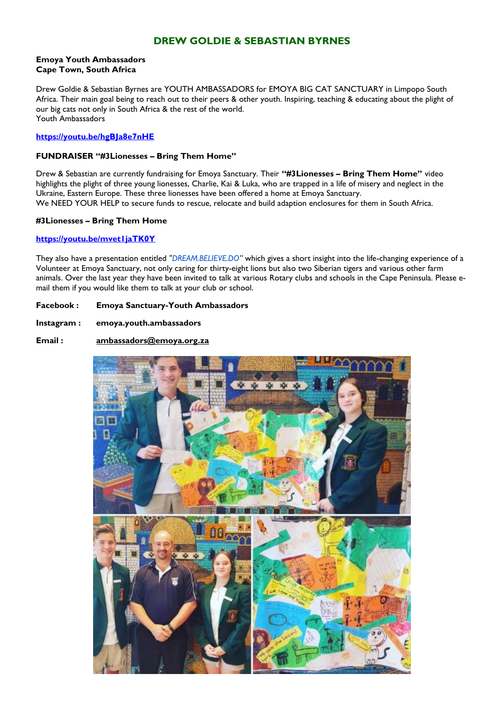# **DREW GOLDIE & SEBASTIAN BYRNES**

#### **Emoya Youth Ambassadors Cape Town, South Africa**

Drew Goldie & Sebastian Byrnes are YOUTH AMBASSADORS for EMOYA BIG CAT SANCTUARY in Limpopo South Africa. Their main goal being to reach out to their peers & other youth. Inspiring, teaching & educating about the plight of our big cats not only in South Africa & the rest of the world. Youth Ambassadors

#### **<https://youtu.be/hgBJa8e7nHE>**

#### **FUNDRAISER "#3Lionesses – Bring Them Home"**

Drew & Sebastian are currently fundraising for Emoya Sanctuary. Their **"#3Lionesses – Bring Them Home"** video highlights the plight of three young lionesses, Charlie, Kai & Luka, who are trapped in a life of misery and neglect in the Ukraine, Eastern Europe. These three lionesses have been offered a home at Emoya Sanctuary. We NEED YOUR HELP to secure funds to rescue, relocate and build adaption enclosures for them in South Africa.

#### **#3Lionesses – Bring Them Home**

#### **<https://youtu.be/mvet1jaTK0Y>**

They also have a presentation entitled *["DREAM.BELIEVE.DO](http://dream.believe.do/)"* which gives a short insight into the life-changing experience of a Volunteer at Emoya Sanctuary, not only caring for thirty-eight lions but also two Siberian tigers and various other farm animals. Over the last year they have been invited to talk at various Rotary clubs and schools in the Cape Peninsula. Please email them if you would like them to talk at your club or school.

#### **Facebook : Emoya Sanctuary-Youth Ambassadors**

- **Instagram : emoya.youth.ambassadors**
- **Email : [ambassadors@emoya.org.za](mailto:ambassadors@emoya.org.za)**

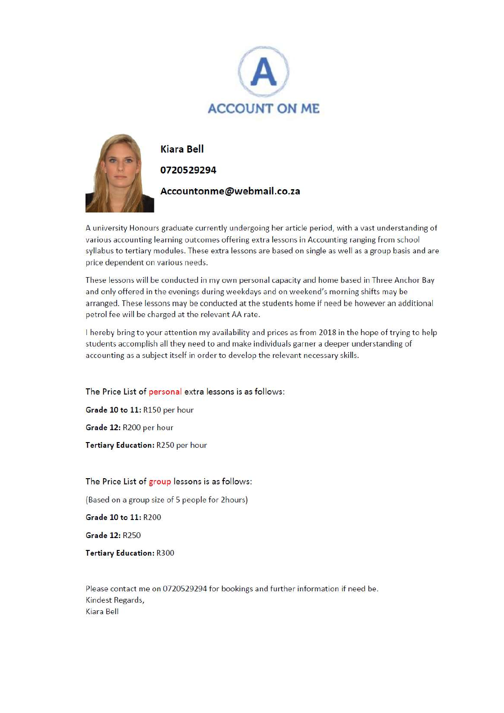



**Kiara Bell** 

## 0720529294

Accountonme@webmail.co.za

A university Honours graduate currently undergoing her article period, with a vast understanding of various accounting learning outcomes offering extra lessons in Accounting ranging from school syllabus to tertiary modules. These extra lessons are based on single as well as a group basis and are price dependent on various needs.

These lessons will be conducted in my own personal capacity and home based in Three Anchor Bay and only offered in the evenings during weekdays and on weekend's morning shifts may be arranged. These lessons may be conducted at the students home if need be however an additional petrol fee will be charged at the relevant AA rate.

I hereby bring to your attention my availability and prices as from 2018 in the hope of trying to help students accomplish all they need to and make individuals garner a deeper understanding of accounting as a subject itself in order to develop the relevant necessary skills.

The Price List of personal extra lessons is as follows:

Grade 10 to 11: R150 per hour Grade 12: R200 per hour

Tertiary Education: R250 per hour

### The Price List of group lessons is as follows:

(Based on a group size of 5 people for 2hours)

Grade 10 to 11: R200

**Grade 12: R250** 

**Tertiary Education: R300** 

Please contact me on 0720529294 for bookings and further information if need be. Kindest Regards, Kiara Bell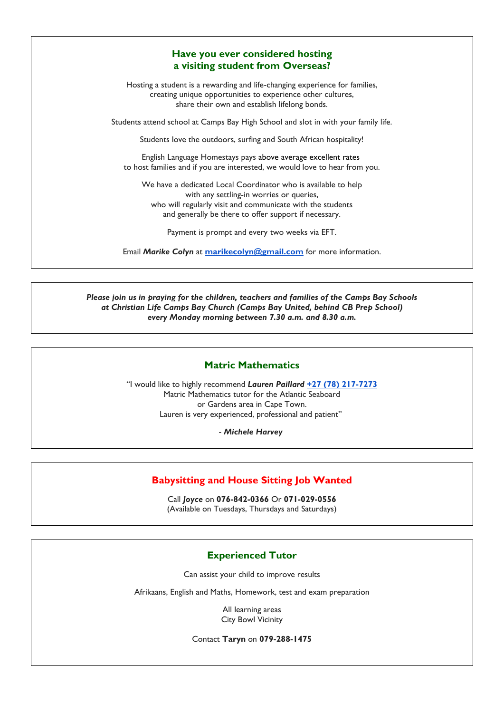# **Have you ever considered hosting a visiting student from Overseas?**

Hosting a student is a rewarding and life-changing experience for families, creating unique opportunities to experience other cultures, share their own and establish lifelong bonds.

Students attend school at Camps Bay High School and slot in with your family life.

Students love the outdoors, surfing and South African hospitality!

English Language Homestays pays above average excellent rates to host families and if you are interested, we would love to hear from you.

We have a dedicated Local Coordinator who is available to help with any settling-in worries or queries, who will regularly visit and communicate with the students and generally be there to offer support if necessary.

Payment is prompt and every two weeks via EFT.

Email *Marike Colyn* at **[marikecolyn@gmail.com](mailto:marikecolyn@gmail.com)** for more information.

*Please join us in praying for the children, teachers and families of the Camps Bay Schools at Christian Life Camps Bay Church (Camps Bay United, behind CB Prep School) every Monday morning between 7.30 a.m. and 8.30 a.m.*

#### **Matric Mathematics**

"I would like to highly recommend *Lauren Paillard* **+27 (78) [217-7273](tel:+27%2078%20217%207273)** Matric Mathematics tutor for the Atlantic Seaboard or Gardens area in Cape Town. Lauren is very experienced, professional and patient"

- *Michele Harvey*

#### **Babysitting and House Sitting Job Wanted**

Call *Joyce* on **076-842-0366** Or **071-029-0556** (Available on Tuesdays, Thursdays and Saturdays)

#### **Experienced Tutor**

Can assist your child to improve results

Afrikaans, English and Maths, Homework, test and exam preparation

All learning areas City Bowl Vicinity

Contact **Taryn** on **079-288-1475**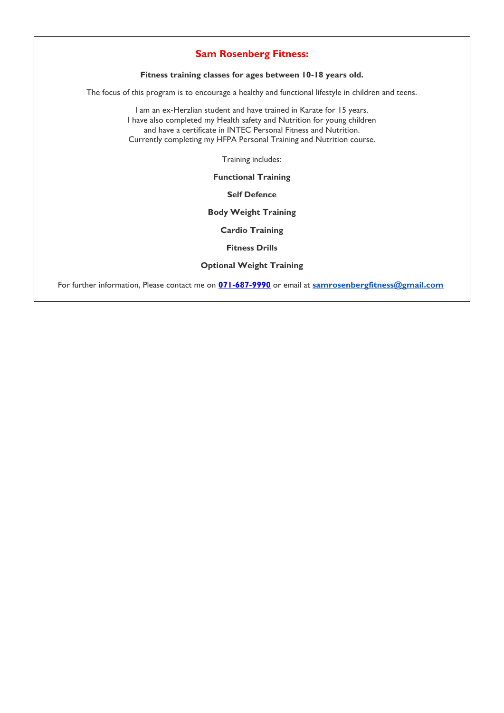# **Sam Rosenberg Fitness:**

**Fitness training classes for ages between 10-18 years old.**

The focus of this program is to encourage a healthy and functional lifestyle in children and teens.

I am an ex-Herzlian student and have trained in Karate for 15 years. I have also completed my Health safety and Nutrition for young children and have a certificate in INTEC Personal Fitness and Nutrition. Currently completing my HFPA Personal Training and Nutrition course.

Training includes:

**Functional Training**

**Self Defence**

**Body Weight Training**

**Cardio Training**

**Fitness Drills**

**Optional Weight Training**

For further information, Please contact me on **[071-687-9990](mailto:071-687-9990)** or email at **[samrosenbergfitness@gmail.com](mailto:samrosenbergfitness@gmail.com)**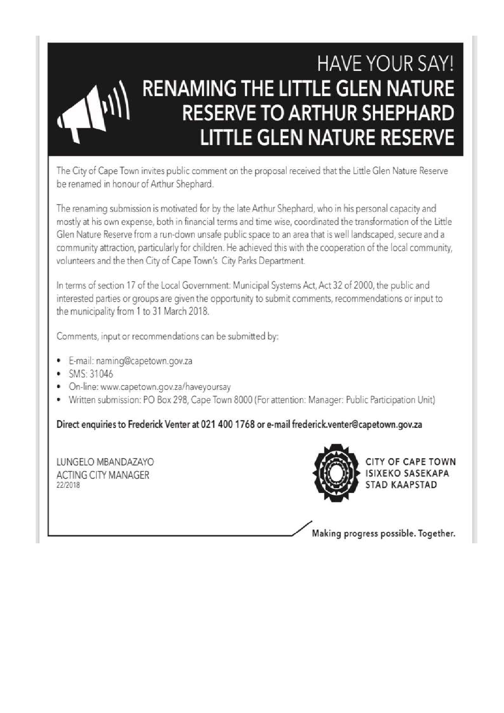# **HAVE YOUR SAY!** RENAMING THE LITTLE GLEN NATURE **RESERVE TO ARTHUR SHEPHARD LITTLE GLEN NATURE RESERVE**

The City of Cape Town invites public comment on the proposal received that the Little Glen Nature Reserve be renamed in honour of Arthur Shephard.

The renaming submission is motivated for by the late Arthur Shephard, who in his personal capacity and mostly at his own expense, both in financial terms and time wise, coordinated the transformation of the Little Glen Nature Reserve from a run-down unsafe public space to an area that is well landscaped, secure and a community attraction, particularly for children. He achieved this with the cooperation of the local community, volunteers and the then City of Cape Town's City Parks Department.

In terms of section 17 of the Local Government: Municipal Systems Act, Act 32 of 2000, the public and interested parties or groups are given the opportunity to submit comments, recommendations or input to the municipality from 1 to 31 March 2018.

Comments, input or recommendations can be submitted by:

- E-mail: naming@capetown.gov.za
- SMS: 31046
- On-line: www.capetown.gov.za/haveyoursay
- Written submission: PO Box 298, Cape Town 8000 (For attention: Manager: Public Participation Unit)

Direct enquiries to Frederick Venter at 021 400 1768 or e-mail frederick.venter@capetown.gov.za

LUNGELO MBANDAZAYO **ACTING CITY MANAGER** 22/2018



**CITY OF CAPE TOWN** ISIXEKO SASEKAPA **STAD KAAPSTAD** 

Making progress possible. Together.